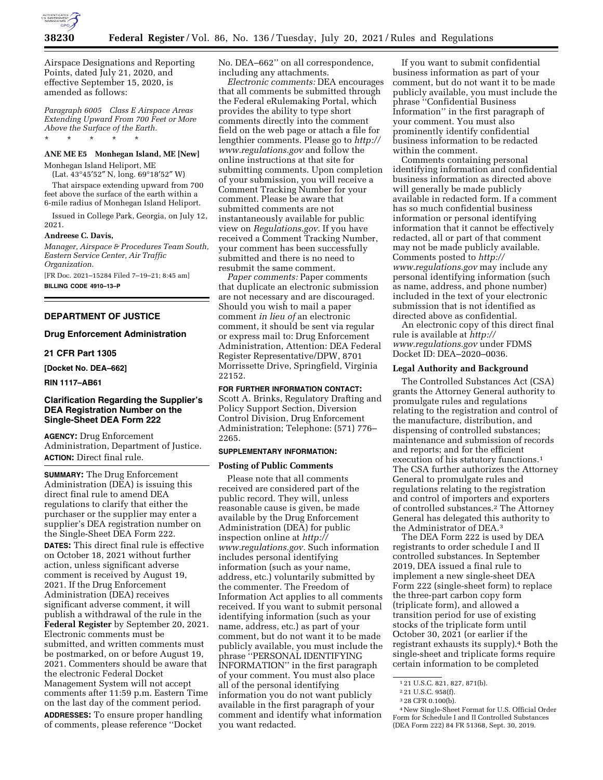

Airspace Designations and Reporting Points, dated July 21, 2020, and effective September 15, 2020, is amended as follows:

*Paragraph 6005 Class E Airspace Areas Extending Upward From 700 Feet or More Above the Surface of the Earth.*  \* \* \* \* \*

# **ANE ME E5 Monhegan Island, ME [New]**

Monhegan Island Heliport, ME

(Lat. 43°45′52″ N, long. 69°18′52″ W) That airspace extending upward from 700 feet above the surface of the earth within a 6-mile radius of Monhegan Island Heliport.

Issued in College Park, Georgia, on July 12, 2021.

#### **Andreese C. Davis,**

*Manager, Airspace & Procedures Team South, Eastern Service Center, Air Traffic Organization.* 

[FR Doc. 2021–15284 Filed 7–19–21; 8:45 am]

**BILLING CODE 4910–13–P** 

### **DEPARTMENT OF JUSTICE**

### **Drug Enforcement Administration**

### **21 CFR Part 1305**

**[Docket No. DEA–662]** 

**RIN 1117–AB61** 

# **Clarification Regarding the Supplier's DEA Registration Number on the Single-Sheet DEA Form 222**

**AGENCY:** Drug Enforcement Administration, Department of Justice. **ACTION:** Direct final rule.

**SUMMARY:** The Drug Enforcement Administration (DEA) is issuing this direct final rule to amend DEA regulations to clarify that either the purchaser or the supplier may enter a supplier's DEA registration number on the Single-Sheet DEA Form 222. **DATES:** This direct final rule is effective on October 18, 2021 without further action, unless significant adverse comment is received by August 19, 2021. If the Drug Enforcement Administration (DEA) receives significant adverse comment, it will publish a withdrawal of the rule in the **Federal Register** by September 20, 2021. Electronic comments must be submitted, and written comments must

be postmarked, on or before August 19, 2021. Commenters should be aware that the electronic Federal Docket Management System will not accept comments after 11:59 p.m. Eastern Time on the last day of the comment period. **ADDRESSES:** To ensure proper handling of comments, please reference ''Docket

No. DEA–662'' on all correspondence, including any attachments.

*Electronic comments:* DEA encourages that all comments be submitted through the Federal eRulemaking Portal, which provides the ability to type short comments directly into the comment field on the web page or attach a file for lengthier comments. Please go to *[http://](http://www.regulations.gov) [www.regulations.gov](http://www.regulations.gov)* and follow the online instructions at that site for submitting comments. Upon completion of your submission, you will receive a Comment Tracking Number for your comment. Please be aware that submitted comments are not instantaneously available for public view on *Regulations.gov*. If you have received a Comment Tracking Number, your comment has been successfully submitted and there is no need to resubmit the same comment.

*Paper comments:* Paper comments that duplicate an electronic submission are not necessary and are discouraged. Should you wish to mail a paper comment *in lieu of* an electronic comment, it should be sent via regular or express mail to: Drug Enforcement Administration, Attention: DEA Federal Register Representative/DPW, 8701 Morrissette Drive, Springfield, Virginia 22152.

**FOR FURTHER INFORMATION CONTACT:**  Scott A. Brinks, Regulatory Drafting and Policy Support Section, Diversion Control Division, Drug Enforcement Administration; Telephone: (571) 776– 2265.

### **SUPPLEMENTARY INFORMATION:**

#### **Posting of Public Comments**

Please note that all comments received are considered part of the public record. They will, unless reasonable cause is given, be made available by the Drug Enforcement Administration (DEA) for public inspection online at *[http://](http://www.regulations.gov) [www.regulations.gov.](http://www.regulations.gov)* Such information includes personal identifying information (such as your name, address, etc.) voluntarily submitted by the commenter. The Freedom of Information Act applies to all comments received. If you want to submit personal identifying information (such as your name, address, etc.) as part of your comment, but do not want it to be made publicly available, you must include the phrase ''PERSONAL IDENTIFYING INFORMATION'' in the first paragraph of your comment. You must also place all of the personal identifying information you do not want publicly available in the first paragraph of your comment and identify what information you want redacted.

If you want to submit confidential business information as part of your comment, but do not want it to be made publicly available, you must include the phrase ''Confidential Business Information'' in the first paragraph of your comment. You must also prominently identify confidential business information to be redacted within the comment.

Comments containing personal identifying information and confidential business information as directed above will generally be made publicly available in redacted form. If a comment has so much confidential business information or personal identifying information that it cannot be effectively redacted, all or part of that comment may not be made publicly available. Comments posted to *[http://](http://www.regulations.gov) [www.regulations.gov](http://www.regulations.gov)* may include any personal identifying information (such as name, address, and phone number) included in the text of your electronic submission that is not identified as directed above as confidential.

An electronic copy of this direct final rule is available at *[http://](http://www.regulations.gov) [www.regulations.gov](http://www.regulations.gov)* under FDMS Docket ID: DEA–2020–0036.

### **Legal Authority and Background**

The Controlled Substances Act (CSA) grants the Attorney General authority to promulgate rules and regulations relating to the registration and control of the manufacture, distribution, and dispensing of controlled substances; maintenance and submission of records and reports; and for the efficient execution of his statutory functions.1 The CSA further authorizes the Attorney General to promulgate rules and regulations relating to the registration and control of importers and exporters of controlled substances.2 The Attorney General has delegated this authority to the Administrator of DEA.3

The DEA Form 222 is used by DEA registrants to order schedule I and II controlled substances. In September 2019, DEA issued a final rule to implement a new single-sheet DEA Form 222 (single-sheet form) to replace the three-part carbon copy form (triplicate form), and allowed a transition period for use of existing stocks of the triplicate form until October 30, 2021 (or earlier if the registrant exhausts its supply).4 Both the single-sheet and triplicate forms require certain information to be completed

<sup>1</sup> 21 U.S.C. 821, 827, 871(b).

<sup>2</sup> 21 U.S.C. 958(f).

<sup>3</sup> 28 CFR 0.100(b).

<sup>4</sup>New Single-Sheet Format for U.S. Official Order Form for Schedule I and II Controlled Substances (DEA Form 222) 84 FR 51368, Sept. 30, 2019.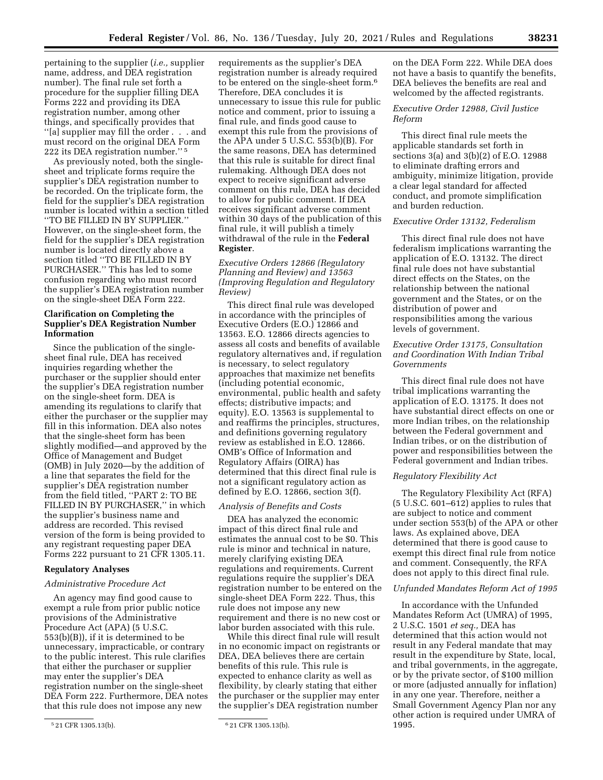pertaining to the supplier (*i.e.,* supplier name, address, and DEA registration number). The final rule set forth a procedure for the supplier filling DEA Forms 222 and providing its DEA registration number, among other things, and specifically provides that ''[a] supplier may fill the order . . . and must record on the original DEA Form 222 its DEA registration number.'' 5

As previously noted, both the singlesheet and triplicate forms require the supplier's DEA registration number to be recorded. On the triplicate form, the field for the supplier's DEA registration number is located within a section titled ''TO BE FILLED IN BY SUPPLIER.'' However, on the single-sheet form, the field for the supplier's DEA registration number is located directly above a section titled ''TO BE FILLED IN BY PURCHASER.'' This has led to some confusion regarding who must record the supplier's DEA registration number on the single-sheet DEA Form 222.

# **Clarification on Completing the Supplier's DEA Registration Number Information**

Since the publication of the singlesheet final rule, DEA has received inquiries regarding whether the purchaser or the supplier should enter the supplier's DEA registration number on the single-sheet form. DEA is amending its regulations to clarify that either the purchaser or the supplier may fill in this information. DEA also notes that the single-sheet form has been slightly modified—and approved by the Office of Management and Budget (OMB) in July 2020—by the addition of a line that separates the field for the supplier's DEA registration number from the field titled, ''PART 2: TO BE FILLED IN BY PURCHASER," in which the supplier's business name and address are recorded. This revised version of the form is being provided to any registrant requesting paper DEA Forms 222 pursuant to 21 CFR 1305.11.

# **Regulatory Analyses**

### *Administrative Procedure Act*

An agency may find good cause to exempt a rule from prior public notice provisions of the Administrative Procedure Act (APA) (5 U.S.C. 553(b)(B)), if it is determined to be unnecessary, impracticable, or contrary to the public interest. This rule clarifies that either the purchaser or supplier may enter the supplier's DEA registration number on the single-sheet DEA Form 222. Furthermore, DEA notes that this rule does not impose any new

requirements as the supplier's DEA registration number is already required to be entered on the single-sheet form.6 Therefore, DEA concludes it is unnecessary to issue this rule for public notice and comment, prior to issuing a final rule, and finds good cause to exempt this rule from the provisions of the APA under 5 U.S.C. 553(b)(B). For the same reasons, DEA has determined that this rule is suitable for direct final rulemaking. Although DEA does not expect to receive significant adverse comment on this rule, DEA has decided to allow for public comment. If DEA receives significant adverse comment within 30 days of the publication of this final rule, it will publish a timely withdrawal of the rule in the **Federal Register**.

*Executive Orders 12866 (Regulatory Planning and Review) and 13563 (Improving Regulation and Regulatory Review)* 

This direct final rule was developed in accordance with the principles of Executive Orders (E.O.) 12866 and 13563. E.O. 12866 directs agencies to assess all costs and benefits of available regulatory alternatives and, if regulation is necessary, to select regulatory approaches that maximize net benefits (including potential economic, environmental, public health and safety effects; distributive impacts; and equity). E.O. 13563 is supplemental to and reaffirms the principles, structures, and definitions governing regulatory review as established in E.O. 12866. OMB's Office of Information and Regulatory Affairs (OIRA) has determined that this direct final rule is not a significant regulatory action as defined by E.O. 12866, section 3(f).

### *Analysis of Benefits and Costs*

DEA has analyzed the economic impact of this direct final rule and estimates the annual cost to be \$0. This rule is minor and technical in nature, merely clarifying existing DEA regulations and requirements. Current regulations require the supplier's DEA registration number to be entered on the single-sheet DEA Form 222. Thus, this rule does not impose any new requirement and there is no new cost or labor burden associated with this rule.

While this direct final rule will result in no economic impact on registrants or DEA, DEA believes there are certain benefits of this rule. This rule is expected to enhance clarity as well as flexibility, by clearly stating that either the purchaser or the supplier may enter the supplier's DEA registration number

on the DEA Form 222. While DEA does not have a basis to quantify the benefits, DEA believes the benefits are real and welcomed by the affected registrants.

# *Executive Order 12988, Civil Justice Reform*

This direct final rule meets the applicable standards set forth in sections 3(a) and 3(b)(2) of E.O. 12988 to eliminate drafting errors and ambiguity, minimize litigation, provide a clear legal standard for affected conduct, and promote simplification and burden reduction.

# *Executive Order 13132, Federalism*

This direct final rule does not have federalism implications warranting the application of E.O. 13132. The direct final rule does not have substantial direct effects on the States, on the relationship between the national government and the States, or on the distribution of power and responsibilities among the various levels of government.

# *Executive Order 13175, Consultation and Coordination With Indian Tribal Governments*

This direct final rule does not have tribal implications warranting the application of E.O. 13175. It does not have substantial direct effects on one or more Indian tribes, on the relationship between the Federal government and Indian tribes, or on the distribution of power and responsibilities between the Federal government and Indian tribes.

### *Regulatory Flexibility Act*

The Regulatory Flexibility Act (RFA) (5 U.S.C. 601–612) applies to rules that are subject to notice and comment under section 553(b) of the APA or other laws. As explained above, DEA determined that there is good cause to exempt this direct final rule from notice and comment. Consequently, the RFA does not apply to this direct final rule.

#### *Unfunded Mandates Reform Act of 1995*

In accordance with the Unfunded Mandates Reform Act (UMRA) of 1995, 2 U.S.C. 1501 *et seq.,* DEA has determined that this action would not result in any Federal mandate that may result in the expenditure by State, local, and tribal governments, in the aggregate, or by the private sector, of \$100 million or more (adjusted annually for inflation) in any one year. Therefore, neither a Small Government Agency Plan nor any other action is required under UMRA of 1995.

<sup>5</sup> 21 CFR 1305.13(b). 6 21 CFR 1305.13(b).